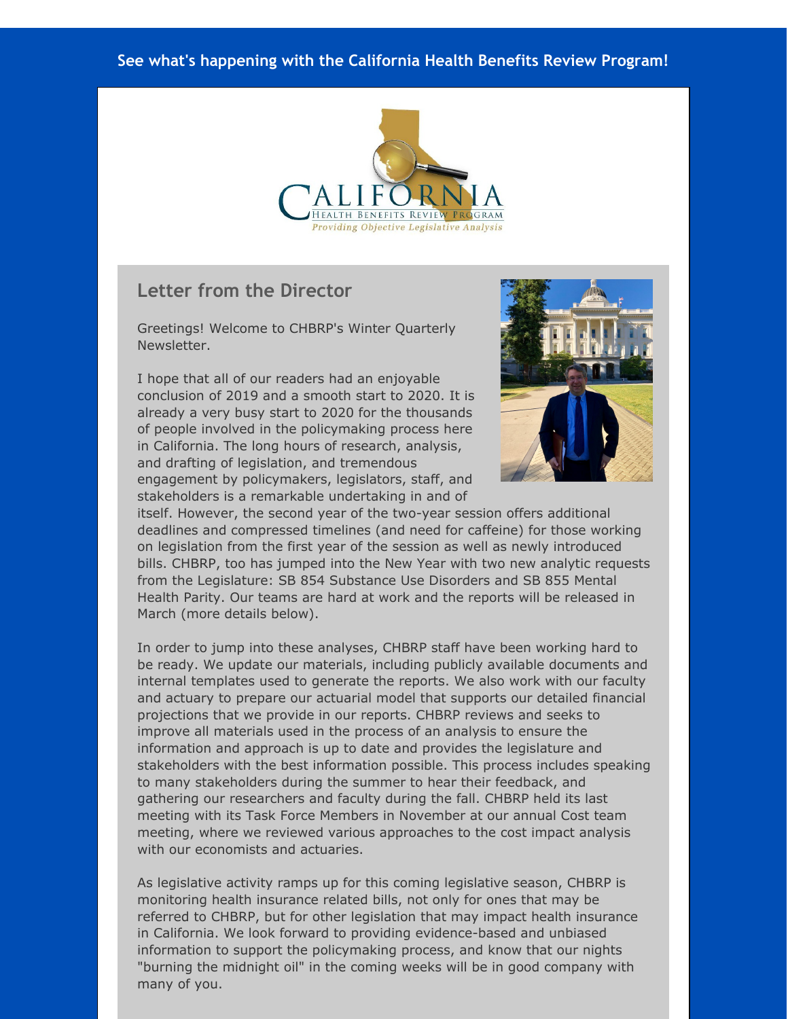#### **See what's happening with the California Health Benefits Review Program!**



#### **Letter from the Director**

Greetings! Welcome to CHBRP's Winter Quarterly Newsletter.

I hope that all of our readers had an enjoyable conclusion of 2019 and a smooth start to 2020. It is already a very busy start to 2020 for the thousands of people involved in the policymaking process here in California. The long hours of research, analysis, and drafting of legislation, and tremendous engagement by policymakers, legislators, staff, and stakeholders is a remarkable undertaking in and of



itself. However, the second year of the two-year session offers additional deadlines and compressed timelines (and need for caffeine) for those working on legislation from the first year of the session as well as newly introduced bills. CHBRP, too has jumped into the New Year with two new analytic requests from the Legislature: SB 854 Substance Use Disorders and SB 855 Mental Health Parity. Our teams are hard at work and the reports will be released in March (more details below).

In order to jump into these analyses, CHBRP staff have been working hard to be ready. We update our materials, including publicly available documents and internal templates used to generate the reports. We also work with our faculty and actuary to prepare our actuarial model that supports our detailed financial projections that we provide in our reports. CHBRP reviews and seeks to improve all materials used in the process of an analysis to ensure the information and approach is up to date and provides the legislature and stakeholders with the best information possible. This process includes speaking to many stakeholders during the summer to hear their feedback, and gathering our researchers and faculty during the fall. CHBRP held its last meeting with its Task Force Members in November at our annual Cost team meeting, where we reviewed various approaches to the cost impact analysis with our economists and actuaries.

As legislative activity ramps up for this coming legislative season, CHBRP is monitoring health insurance related bills, not only for ones that may be referred to CHBRP, but for other legislation that may impact health insurance in California. We look forward to providing evidence-based and unbiased information to support the policymaking process, and know that our nights "burning the midnight oil" in the coming weeks will be in good company with many of you.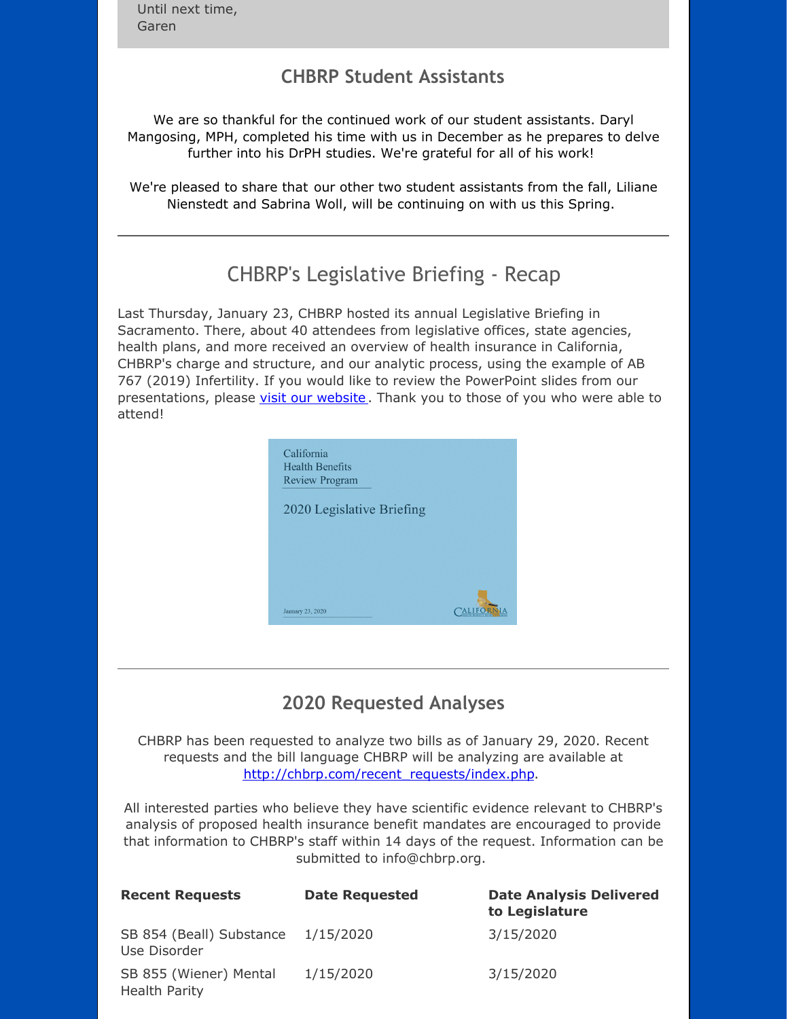Until next time, Garen

### **CHBRP Student Assistants**

We are so thankful for the continued work of our student assistants. Daryl Mangosing, MPH, completed his time with us in December as he prepares to delve further into his DrPH studies. We're grateful for all of his work!

We're pleased to share that our other two student assistants from the fall, Liliane Nienstedt and Sabrina Woll, will be continuing on with us this Spring.

# CHBRP's Legislative Briefing - Recap

Last Thursday, January 23, CHBRP hosted its annual Legislative Briefing in Sacramento. There, about 40 attendees from legislative offices, state agencies, health plans, and more received an overview of health insurance in California, CHBRP's charge and structure, and our analytic process, using the example of AB 767 (2019) Infertility. If you would like to review the PowerPoint slides from our presentations, please visit our [website](http://r20.rs6.net/tn.jsp?f=001aRun3w9pdLm7pHVA6xG_B5XqIXol7jHQPDct8iSxgZ_cuz0YugRQVrAE6cy5fyNunzVmRntUfpdQgZ_bOl8UJGDtLpr544nrtn_0F9g1rsY5DUy5pgLT-BnqfiglPfmebvywGQtGu0PUayGZ50TD60BvLGFldHd9nPoS8NscMlKNv9Hb5EoAWsOCTgsvwQj7CjdESoLTmqW1iQbTgj9nkBB0_x87j7w4N7XkjhASKbR7jUVk78sr0podK-fl6suLWPUNDCSBloAnmGZwl8nAT89oJHLAoc1f7-W56MqKBKyBjBoRqtqDTQFTveSuaujFOdvV5A8i13HH83GQDMYJVXNz5ay-tQlS8YmPC4hgPMSusD0LVo2UTMXuvh6hGYVW2LBEPIZmdzE=&c=&ch=) . Thank you to those of you who were able to attend!



## **2020 Requested Analyses**

CHBRP has been requested to analyze two bills as of January 29, 2020. Recent requests and the bill language CHBRP will be analyzing are available at [http://chbrp.com/recent\\_requests/index.php](http://r20.rs6.net/tn.jsp?f=001aRun3w9pdLm7pHVA6xG_B5XqIXol7jHQPDct8iSxgZ_cuz0YugRQVg3z7Z5OVf5QZfTJiS5fqmf8eI0nuoughJEcy_TuuLfixm7gm8HZo41E2XAWGFBCjkhTJ6z7LmgXUoT6OT4kP61euk0UAJCwsPYn1KxkFpySBUAhCfsGZIAFAMifXooxrfRMp5X-nlv1v-VI4l5HKVSlnSb3Nq2GmB4yR6wdoWdfjnJunk7R6fpnn4CTF9E0Eza70u_2BC-WGJqj7orL4S580nH747WjejmPs8xAFplfum6F9qIwU-_oodhfpxApFIDdxrsLUeTcSPB_e4nKpP964u3gbmqC2flVORGb2WGZ&c=&ch=).

All interested parties who believe they have scientific evidence relevant to CHBRP's analysis of proposed health insurance benefit mandates are encouraged to provide that information to CHBRP's staff within 14 days of the request. Information can be submitted to info@chbrp.org.

| <b>Recent Requests</b>                         | <b>Date Requested</b> | <b>Date Analysis Delivered</b><br>to Legislature |
|------------------------------------------------|-----------------------|--------------------------------------------------|
| SB 854 (Beall) Substance<br>Use Disorder       | 1/15/2020             | 3/15/2020                                        |
| SB 855 (Wiener) Mental<br><b>Health Parity</b> | 1/15/2020             | 3/15/2020                                        |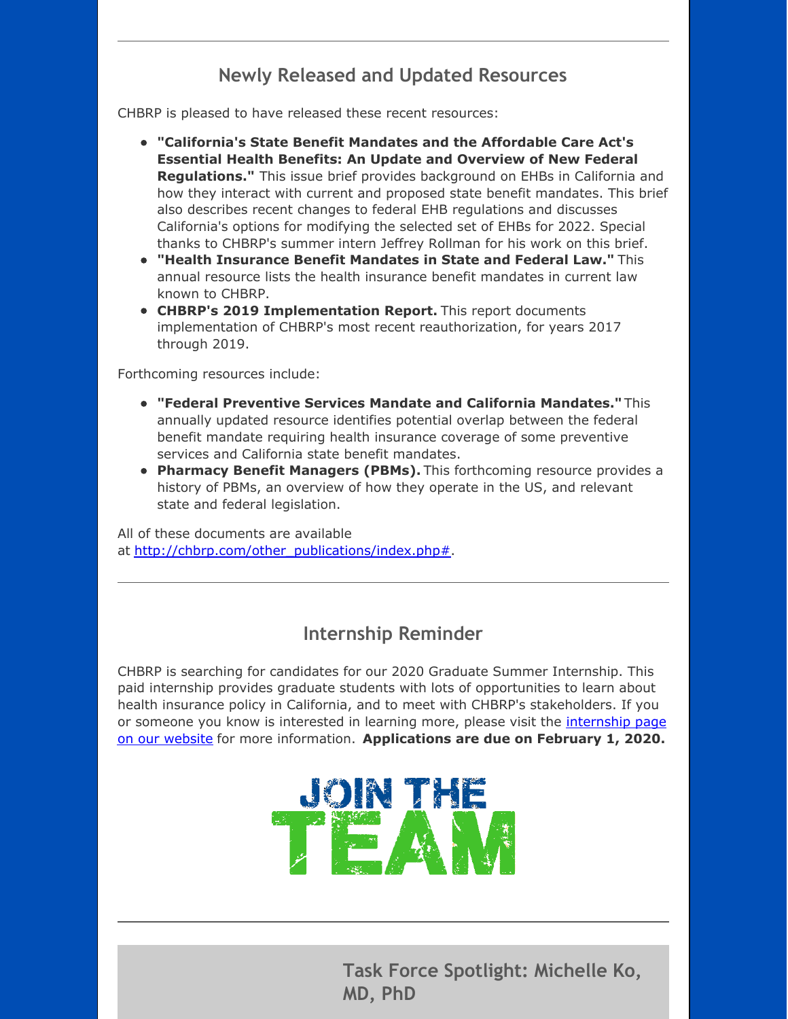## **Newly Released and Updated Resources**

CHBRP is pleased to have released these recent resources:

- **"California's State Benefit Mandates and the Affordable Care Act's Essential Health Benefits: An Update and Overview of New Federal Regulations."** This issue brief provides background on EHBs in California and how they interact with current and proposed state benefit mandates. This brief also describes recent changes to federal EHB regulations and discusses California's options for modifying the selected set of EHBs for 2022. Special thanks to CHBRP's summer intern Jeffrey Rollman for his work on this brief.
- **"Health Insurance Benefit Mandates in State and Federal Law."** This annual resource lists the health insurance benefit mandates in current law known to CHBRP.
- **CHBRP's 2019 Implementation Report.** This report documents implementation of CHBRP's most recent reauthorization, for years 2017 through 2019.

Forthcoming resources include:

- **"Federal Preventive Services Mandate and California Mandates."** This annually updated resource identifies potential overlap between the federal benefit mandate requiring health insurance coverage of some preventive services and California state benefit mandates.
- **Pharmacy Benefit Managers (PBMs).** This forthcoming resource provides a history of PBMs, an overview of how they operate in the US, and relevant state and federal legislation.

All of these documents are available at [http://chbrp.com/other\\_publications/index.php#](http://r20.rs6.net/tn.jsp?f=001aRun3w9pdLm7pHVA6xG_B5XqIXol7jHQPDct8iSxgZ_cuz0YugRQVrAE6cy5fyNuvMHqFkM6xWEJmyly3Xh_wmuceeUblujeFxAYO2tJ_XJO14m4a1d-lD7iIzhkEdgtRJxRccEh7LhhxL_5x4uh-4yMk1I09PRv6Vyr8R0t23w7V4_D6cTqNN2RbGWMC9dz_JI5dMLBjWHmBhbsY_WcMFSUJprc0plTX5iBek8NvruWdRTGwqloqDPjAL2LDO4TVcCr0T5Hnq-i_oq3QPe71R4NhzeYxKBd7lilZ9AfnxpDMa8ZlXaEZNKsaR3hVNa0w7MlDepjd_aAlFSlKsOzWNxnu-asGSR76KdYVYA9nec=&c=&ch=).

#### **Internship Reminder**

CHBRP is searching for candidates for our 2020 Graduate Summer Internship. This paid internship provides graduate students with lots of opportunities to learn about health insurance policy in California, and to meet with CHBRP's stakeholders. If you or someone you know is interested in learning more, please visit the *internship page* on our website for more information. **[Applications](http://r20.rs6.net/tn.jsp?f=001aRun3w9pdLm7pHVA6xG_B5XqIXol7jHQPDct8iSxgZ_cuz0YugRQVrAE6cy5fyNus14radfSxJ-tWc7JTpkzfDAQPoD23pekn79Csy_Gk0xLIhgN6Ssh3LXLM5IcE1JMROJXmiakmW777N70SogjiKr143WwY2eLOy0CWVQBx9l_ob5zkqhAIiTISuiPe_CYKFElnlY7MTNlfOOMS9AYJjZSodkbWhcEvV2696kNnQ_5-FDI97K3gALVJY8aPk_8NbIfi_kQ5bP3CSIT-FuLbuO1X4mWUQFEUvMsb6pHafD2XKHAGxgFt65DSkVaOggRCRQ8GIEvZJU5tFrS5BRWLRvcNnsTcqLOESa9V8vfGBal4S2fi10h-7Oce9dWvJxSeX3-GmeePAYVv1v79H9RMw==&c=&ch=) are due on February 1, 2020.**



**Task Force Spotlight: Michelle Ko, MD, PhD**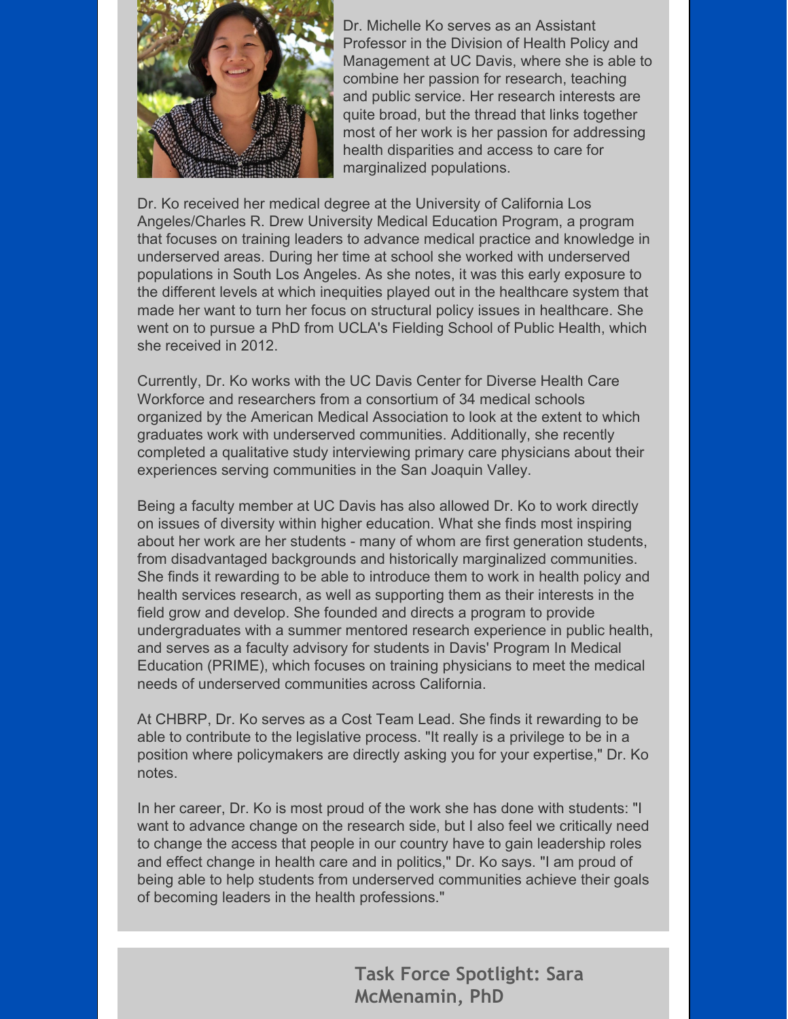

Dr. Michelle Ko serves as an Assistant Professor in the Division of Health Policy and Management at UC Davis, where she is able to combine her passion for research, teaching and public service. Her research interests are quite broad, but the thread that links together most of her work is her passion for addressing health disparities and access to care for marginalized populations.

Dr. Ko received her medical degree at the University of California Los Angeles/Charles R. Drew University Medical Education Program, a program that focuses on training leaders to advance medical practice and knowledge in underserved areas. During her time at school she worked with underserved populations in South Los Angeles. As she notes, it was this early exposure to the different levels at which inequities played out in the healthcare system that made her want to turn her focus on structural policy issues in healthcare. She went on to pursue a PhD from UCLA's Fielding School of Public Health, which she received in 2012.

Currently, Dr. Ko works with the UC Davis Center for Diverse Health Care Workforce and researchers from a consortium of 34 medical schools organized by the American Medical Association to look at the extent to which graduates work with underserved communities. Additionally, she recently completed a qualitative study interviewing primary care physicians about their experiences serving communities in the San Joaquin Valley.

Being a faculty member at UC Davis has also allowed Dr. Ko to work directly on issues of diversity within higher education. What she finds most inspiring about her work are her students - many of whom are first generation students, from disadvantaged backgrounds and historically marginalized communities. She finds it rewarding to be able to introduce them to work in health policy and health services research, as well as supporting them as their interests in the field grow and develop. She founded and directs a program to provide undergraduates with a summer mentored research experience in public health, and serves as a faculty advisory for students in Davis' Program In Medical Education (PRIME), which focuses on training physicians to meet the medical needs of underserved communities across California.

At CHBRP, Dr. Ko serves as a Cost Team Lead. She finds it rewarding to be able to contribute to the legislative process. "It really is a privilege to be in a position where policymakers are directly asking you for your expertise," Dr. Ko notes.

In her career, Dr. Ko is most proud of the work she has done with students: "I want to advance change on the research side, but I also feel we critically need to change the access that people in our country have to gain leadership roles and effect change in health care and in politics," Dr. Ko says. "I am proud of being able to help students from underserved communities achieve their goals of becoming leaders in the health professions."

> **Task Force Spotlight: Sara McMenamin, PhD**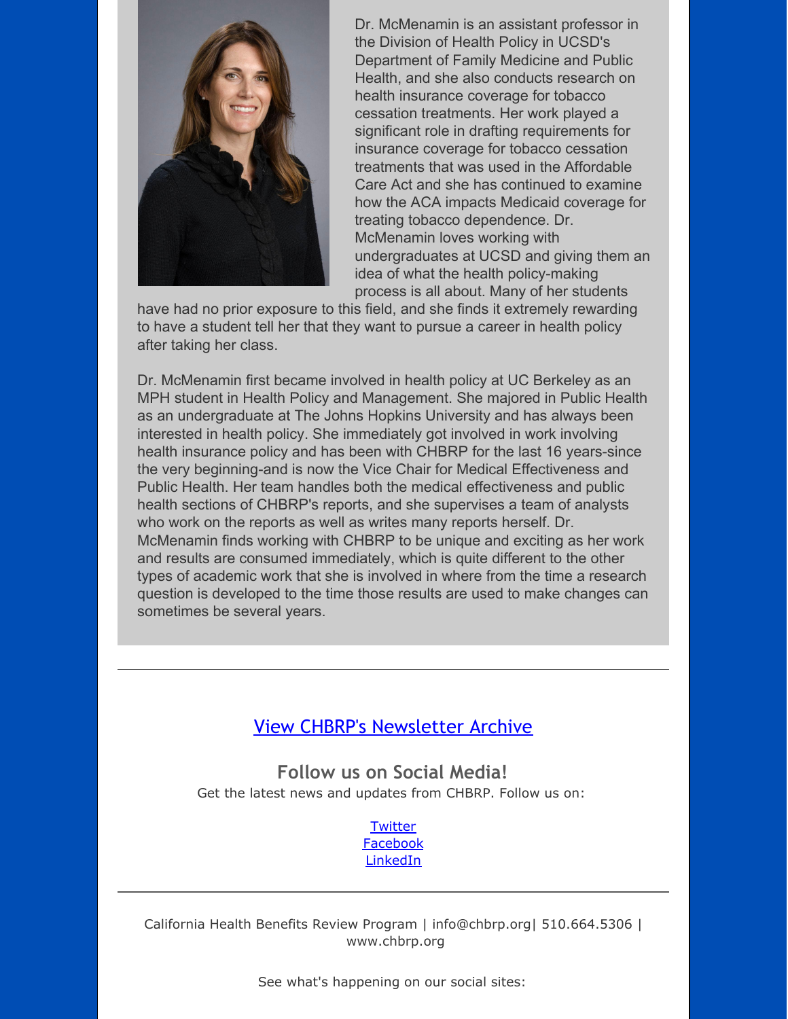

Dr. McMenamin is an assistant professor in the Division of Health Policy in UCSD's Department of Family Medicine and Public Health, and she also conducts research on health insurance coverage for tobacco cessation treatments. Her work played a significant role in drafting requirements for insurance coverage for tobacco cessation treatments that was used in the Affordable Care Act and she has continued to examine how the ACA impacts Medicaid coverage for treating tobacco dependence. Dr. McMenamin loves working with undergraduates at UCSD and giving them an idea of what the health policy-making process is all about. Many of her students

have had no prior exposure to this field, and she finds it extremely rewarding to have a student tell her that they want to pursue a career in health policy after taking her class.

Dr. McMenamin first became involved in health policy at UC Berkeley as an MPH student in Health Policy and Management. She majored in Public Health as an undergraduate at The Johns Hopkins University and has always been interested in health policy. She immediately got involved in work involving health insurance policy and has been with CHBRP for the last 16 years-since the very beginning-and is now the Vice Chair for Medical Effectiveness and Public Health. Her team handles both the medical effectiveness and public health sections of CHBRP's reports, and she supervises a team of analysts who work on the reports as well as writes many reports herself. Dr. McMenamin finds working with CHBRP to be unique and exciting as her work and results are consumed immediately, which is quite different to the other types of academic work that she is involved in where from the time a research question is developed to the time those results are used to make changes can sometimes be several years.

#### View CHBRP's [Newsletter](http://r20.rs6.net/tn.jsp?f=001aRun3w9pdLm7pHVA6xG_B5XqIXol7jHQPDct8iSxgZ_cuz0YugRQVpxU8yuDwbD7Hoa-eQH9DFJXl_rQyS24R01-ODEoN40r3dGrFLIvt-5GW4RjOpkI98J5VTIq26YnWZTaAcfdNEJdnUEJ8I3KEgn91sAI_h_5iKZUG6K3gyYkeCr8bsKA4JTse4__CG6KDhnh4B4q8k66d5NZ6aSr6h5kghn9IcbwAyNgjsS2vNo4JrZSbwiM4rwpj4uZthyc9GHCMLhmYB--idwD01C-FhW2gxfU6Agr5x_IXW6pSWi4NdoYRlL5wq7ov4ALq8jXAijMrrFjIrFwvGhl08q190jIVE09YHZ58AI6ueW7Tc2-tz6neMBN37sWnVeOt1GxVnoVDKGK75U=&c=&ch=) Archive

**Follow us on Social Media!** Get the latest news and updates from CHBRP. Follow us on:

> **[Twitter](http://r20.rs6.net/tn.jsp?f=001aRun3w9pdLm7pHVA6xG_B5XqIXol7jHQPDct8iSxgZ_cuz0YugRQVjjwoI3FsVgkFxze_a_-tk3JKu22l6v7nY8Zw6gyhGI4lUqoy72miCJIHfTpUXO4eljtFUWfyo8fzY8U629BrNctx7WGGPAfsDoUqYhzLnYqDXVEGiKb777SmT4aT-FVUg==&c=&ch=)** [Facebook](http://r20.rs6.net/tn.jsp?f=001aRun3w9pdLm7pHVA6xG_B5XqIXol7jHQPDct8iSxgZ_cuz0YugRQVjjwoI3FsVgkc1FjLlSPK20vpzcXhRF1mNTn_lzOlUQLJIaJMSqxHGOhaEcLHNi_JHw-_GCah2MYsliYvXgqFmrvXRfFvptogbXEDKSO4eYmG6J3WvUNXxwaLEYmQ2AZ7SKV8C6uKBLm&c=&ch=) [LinkedIn](http://r20.rs6.net/tn.jsp?f=001aRun3w9pdLm7pHVA6xG_B5XqIXol7jHQPDct8iSxgZ_cuz0YugRQVjjwoI3FsVgkzyL31Lp44Qf6Y2Ce18E1wpM_hkH8Q-z5urfzIfcbpJeLzdDs3nfu8SPXBUNVVc0EQNm_n3fMbD5EZABk5V2vf2vs2Bk5OPZCWZl26-s0VhfFQQ-LZzrA1KcZH22BNa54Uy2Ab0j9v5zUab5Qw-mCLiV81-yetBWG3sp9lKRG8ls=&c=&ch=)

California Health Benefits Review Program | info@chbrp.org| 510.664.5306 | [www.chbrp.org](http://r20.rs6.net/tn.jsp?f=001aRun3w9pdLm7pHVA6xG_B5XqIXol7jHQPDct8iSxgZ_cuz0YugRQVg3z7Z5OVf5Qjc0ayhX-vsLdHJ--1m4yXUDEW0q_C21Qe3cZk1_u2caaJi-xwYoHPtk5WbRnyeaXzJmo70WK8CEnxhb0_dbhYSw_K7KvZ7L3NSK9wA4W_tTnAU3Hyj4xq7giuXzmLv6RPpatojWQ1pEFWzpfYaU12pzZLA47BqeZ_I85M62safFG4rhOY2Ix3u0DsJ4kK26n9pa1ljwpcFphtnftrAhGE82YvciOCuG4NQS7P8tpcsEdyKaYiTMsQ3rAVfPD6hO0&c=&ch=)

See what's happening on our social sites: